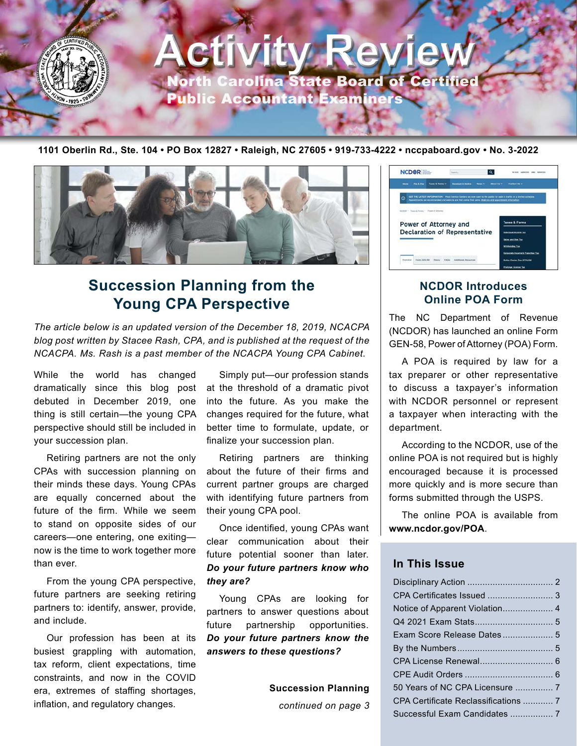

# **Activity Revie** North Carolina State Board of Certified

Public Accountant Examiners

**1101 Oberlin Rd., Ste. 104 • PO Box 12827 • Raleigh, NC 27605 • 919-733-4222 • nccpaboard.gov • No. 3-2022**



# **Succession Planning from the Young CPA Perspective**

*The article below is an updated version of the December 18, 2019, NCACPA blog post written by Stacee Rash, CPA, and is published at the request of the NCACPA. Ms. Rash is a past member of the NCACPA Young CPA Cabinet.* 

While the world has changed dramatically since this blog post debuted in December 2019, one thing is still certain—the young CPA perspective should still be included in your succession plan.

Retiring partners are not the only CPAs with succession planning on their minds these days. Young CPAs are equally concerned about the future of the firm. While we seem to stand on opposite sides of our careers—one entering, one exiting now is the time to work together more than ever.

From the young CPA perspective, future partners are seeking retiring partners to: identify, answer, provide, and include.

Our profession has been at its busiest grappling with automation, tax reform, client expectations, time constraints, and now in the COVID era, extremes of staffing shortages, inflation, and regulatory changes.

Simply put—our profession stands at the threshold of a dramatic pivot into the future. As you make the changes required for the future, what better time to formulate, update, or finalize your succession plan.

Retiring partners are thinking about the future of their firms and current partner groups are charged with identifying future partners from their young CPA pool.

Once identified, young CPAs want clear communication about their future potential sooner than later. *Do your future partners know who they are?* 

Young CPAs are looking for partners to answer questions about future partnership opportunities. *Do your future partners know the answers to these questions?*

> **Succession Planning** *continued on page 3*



# **NCDOR Introduces Online POA Form**

The NC Department of Revenue (NCDOR) has launched an online Form GEN-58, Power of Attorney (POA) Form.

A POA is required by law for a tax preparer or other representative to discuss a taxpayer's information with NCDOR personnel or represent a taxpayer when interacting with the department.

According to the NCDOR, use of the online POA is not required but is highly encouraged because it is processed more quickly and is more secure than forms submitted through the USPS.

The online POA is available from **[www.ncdor.gov/POA](http://www.ncdor.gov/POA)**.

# **In This Issue**

| Exam Score Release Dates 5      |  |
|---------------------------------|--|
|                                 |  |
| CPA License Renewal 6           |  |
|                                 |  |
| 50 Years of NC CPA Licensure  7 |  |
|                                 |  |
|                                 |  |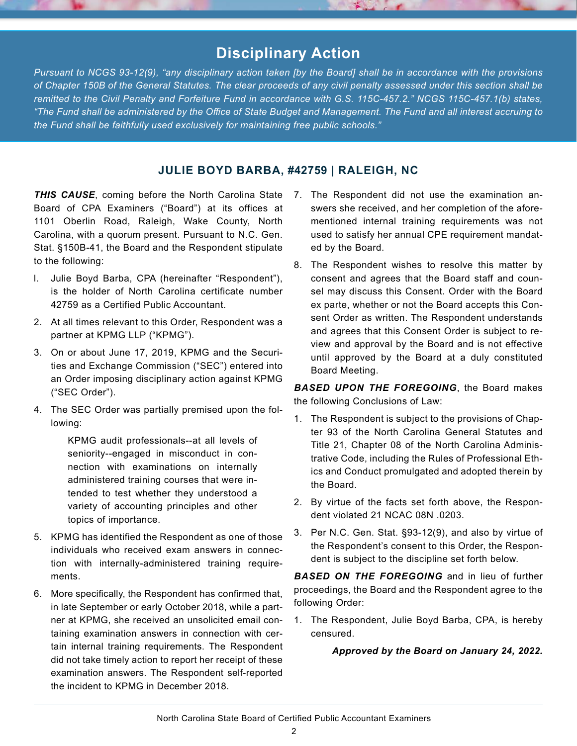# **Disciplinary Action**

*Pursuant to NCGS 93-12(9), "any disciplinary action taken [by the Board] shall be in accordance with the provisions of Chapter 150B of the General Statutes. The clear proceeds of any civil penalty assessed under this section shall be*  remitted to the Civil Penalty and Forfeiture Fund in accordance with G.S. 115C-457.2." NCGS 115C-457.1(b) states, *"The Fund shall be administered by the Office of State Budget and Management. The Fund and all interest accruing to the Fund shall be faithfully used exclusively for maintaining free public schools."*

# **JULIE BOYD BARBA, #42759 | RALEIGH, NC**

*THIS CAUSE*, coming before the North Carolina State 7. The Respondent did not use the examination an-Board of CPA Examiners ("Board") at its offices at 1101 Oberlin Road, Raleigh, Wake County, North Carolina, with a quorum present. Pursuant to N.C. Gen. Stat. §150B-41, the Board and the Respondent stipulate to the following:

- l. Julie Boyd Barba, CPA (hereinafter "Respondent"), is the holder of North Carolina certificate number 42759 as a Certified Public Accountant.
- 2. At all times relevant to this Order, Respondent was a partner at KPMG LLP ("KPMG").
- 3. On or about June 17, 2019, KPMG and the Securities and Exchange Commission ("SEC") entered into an Order imposing disciplinary action against KPMG ("SEC Order").
- 4. The SEC Order was partially premised upon the following:

KPMG audit professionals--at all levels of seniority--engaged in misconduct in connection with examinations on internally administered training courses that were intended to test whether they understood a variety of accounting principles and other topics of importance.

- 5. KPMG has identified the Respondent as one of those individuals who received exam answers in connection with internally-administered training requirements.
- 6. More specifically, the Respondent has confirmed that, in late September or early October 2018, while a partner at KPMG, she received an unsolicited email containing examination answers in connection with certain internal training requirements. The Respondent did not take timely action to report her receipt of these examination answers. The Respondent self-reported the incident to KPMG in December 2018.
- swers she received, and her completion of the aforementioned internal training requirements was not used to satisfy her annual CPE requirement mandated by the Board.
- 8. The Respondent wishes to resolve this matter by consent and agrees that the Board staff and counsel may discuss this Consent. Order with the Board ex parte, whether or not the Board accepts this Consent Order as written. The Respondent understands and agrees that this Consent Order is subject to review and approval by the Board and is not effective until approved by the Board at a duly constituted Board Meeting.

*BASED UPON THE FOREGOING*, the Board makes the following Conclusions of Law:

- 1. The Respondent is subject to the provisions of Chapter 93 of the North Carolina General Statutes and Title 21, Chapter 08 of the North Carolina Administrative Code, including the Rules of Professional Ethics and Conduct promulgated and adopted therein by the Board.
- 2. By virtue of the facts set forth above, the Respondent violated 21 NCAC 08N .0203.
- 3. Per N.C. Gen. Stat. §93-12(9), and also by virtue of the Respondent's consent to this Order, the Respondent is subject to the discipline set forth below.

*BASED ON THE FOREGOING* and in lieu of further proceedings, the Board and the Respondent agree to the following Order:

1. The Respondent, Julie Boyd Barba, CPA, is hereby censured.

*Approved by the Board on January 24, 2022.*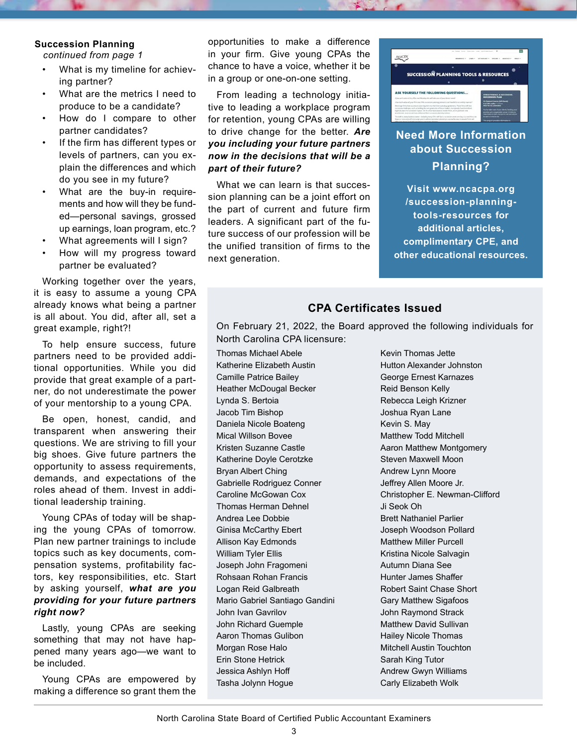#### **Succession Planning**

*continued from page 1*

- What is my timeline for achieving partner?
- What are the metrics I need to produce to be a candidate?
- How do I compare to other partner candidates?
- If the firm has different types or levels of partners, can you explain the differences and which do you see in my future?
- What are the buy-in requirements and how will they be funded—personal savings, grossed up earnings, loan program, etc.?
- What agreements will I sign?
- How will my progress toward partner be evaluated?

Working together over the years, it is easy to assume a young CPA already knows what being a partner is all about. You did, after all, set a great example, right?!

To help ensure success, future partners need to be provided additional opportunities. While you did provide that great example of a partner, do not underestimate the power of your mentorship to a young CPA.

Be open, honest, candid, and transparent when answering their questions. We are striving to fill your big shoes. Give future partners the opportunity to assess requirements, demands, and expectations of the roles ahead of them. Invest in additional leadership training.

Young CPAs of today will be shaping the young CPAs of tomorrow. Plan new partner trainings to include topics such as key documents, compensation systems, profitability factors, key responsibilities, etc. Start by asking yourself, *what are you providing for your future partners right now?*

Lastly, young CPAs are seeking something that may not have happened many years ago—we want to be included.

Young CPAs are empowered by making a difference so grant them the opportunities to make a difference in your firm. Give young CPAs the chance to have a voice, whether it be in a group or one-on-one setting.

From leading a technology initiative to leading a workplace program for retention, young CPAs are willing to drive change for the better. *Are you including your future partners now in the decisions that will be a part of their future?*

What we can learn is that succession planning can be a joint effort on the part of current and future firm leaders. A significant part of the future success of our profession will be the unified transition of firms to the next generation.



# **Need More Information about Succession Planning?**

**Visit [www.ncacpa.org](http://www.ncacpa.org /succession-planning-tools-resources) [/succession-planning](http://www.ncacpa.org /succession-planning-tools-resources)[tools-resources](http://www.ncacpa.org /succession-planning-tools-resources) for additional articles, complimentary CPE, and other educational resources.**

# **CPA Certificates Issued**

On February 21, 2022, the Board approved the following individuals for North Carolina CPA licensure:

Thomas Michael Abele Katherine Elizabeth Austin Camille Patrice Bailey Heather McDougal Becker Lynda S. Bertoia Jacob Tim Bishop Daniela Nicole Boateng Mical Willson Bovee Kristen Suzanne Castle Katherine Doyle Cerotzke Bryan Albert Ching Gabrielle Rodriguez Conner Caroline McGowan Cox Thomas Herman Dehnel Andrea Lee Dobbie Ginisa McCarthy Ebert Allison Kay Edmonds William Tyler Ellis Joseph John Fragomeni Rohsaan Rohan Francis Logan Reid Galbreath Mario Gabriel Santiago Gandini John Ivan Gavrilov John Richard Guemple Aaron Thomas Gulibon Morgan Rose Halo Erin Stone Hetrick Jessica Ashlyn Hoff Tasha Jolynn Hogue

Kevin Thomas Jette Hutton Alexander Johnston George Ernest Karnazes Reid Benson Kelly Rebecca Leigh Krizner Joshua Ryan Lane Kevin S. May Matthew Todd Mitchell Aaron Matthew Montgomery Steven Maxwell Moon Andrew Lynn Moore Jeffrey Allen Moore Jr. Christopher E. Newman-Clifford Ji Seok Oh Brett Nathaniel Parlier Joseph Woodson Pollard Matthew Miller Purcell Kristina Nicole Salvagin Autumn Diana See Hunter James Shaffer Robert Saint Chase Short Gary Matthew Sigafoos John Raymond Strack Matthew David Sullivan Hailey Nicole Thomas Mitchell Austin Touchton Sarah King Tutor Andrew Gwyn Williams Carly Elizabeth Wolk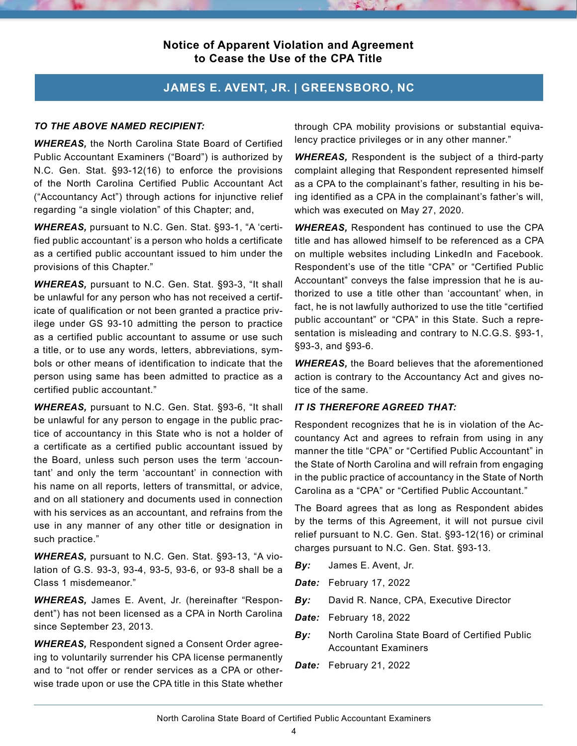### **Notice of Apparent Violation and Agreement to Cease the Use of the CPA Title**

# **JAMES E. AVENT, JR. | GREENSBORO, NC**

#### *TO THE ABOVE NAMED RECIPIENT:*

*WHEREAS,* the North Carolina State Board of Certified Public Accountant Examiners ("Board") is authorized by N.C. Gen. Stat. §93-12(16) to enforce the provisions of the North Carolina Certified Public Accountant Act ("Accountancy Act") through actions for injunctive relief regarding "a single violation" of this Chapter; and,

*WHEREAS,* pursuant to N.C. Gen. Stat. §93-1, "A 'certified public accountant' is a person who holds a certificate as a certified public accountant issued to him under the provisions of this Chapter."

*WHEREAS,* pursuant to N.C. Gen. Stat. §93-3, "It shall be unlawful for any person who has not received a certificate of qualification or not been granted a practice privilege under GS 93-10 admitting the person to practice as a certified public accountant to assume or use such a title, or to use any words, letters, abbreviations, symbols or other means of identification to indicate that the person using same has been admitted to practice as a certified public accountant."

*WHEREAS,* pursuant to N.C. Gen. Stat. §93-6, "It shall be unlawful for any person to engage in the public practice of accountancy in this State who is not a holder of a certificate as a certified public accountant issued by the Board, unless such person uses the term 'accountant' and only the term 'accountant' in connection with his name on all reports, letters of transmittal, or advice, and on all stationery and documents used in connection with his services as an accountant, and refrains from the use in any manner of any other title or designation in such practice."

*WHEREAS,* pursuant to N.C. Gen. Stat. §93-13, "A violation of G.S. 93-3, 93-4, 93-5, 93-6, or 93-8 shall be a Class 1 misdemeanor."

*WHEREAS,* James E. Avent, Jr. (hereinafter "Respondent") has not been licensed as a CPA in North Carolina since September 23, 2013.

*WHEREAS,* Respondent signed a Consent Order agreeing to voluntarily surrender his CPA license permanently and to "not offer or render services as a CPA or otherwise trade upon or use the CPA title in this State whether

through CPA mobility provisions or substantial equivalency practice privileges or in any other manner."

*WHEREAS,* Respondent is the subject of a third-party complaint alleging that Respondent represented himself as a CPA to the complainant's father, resulting in his being identified as a CPA in the complainant's father's will, which was executed on May 27, 2020.

*WHEREAS,* Respondent has continued to use the CPA title and has allowed himself to be referenced as a CPA on multiple websites including LinkedIn and Facebook. Respondent's use of the title "CPA" or "Certified Public Accountant" conveys the false impression that he is authorized to use a title other than 'accountant' when, in fact, he is not lawfully authorized to use the title "certified public accountant" or "CPA" in this State. Such a representation is misleading and contrary to N.C.G.S. §93-1, §93-3, and §93-6.

*WHEREAS,* the Board believes that the aforementioned action is contrary to the Accountancy Act and gives notice of the same.

#### *IT IS THEREFORE AGREED THAT:*

Respondent recognizes that he is in violation of the Accountancy Act and agrees to refrain from using in any manner the title "CPA" or "Certified Public Accountant" in the State of North Carolina and will refrain from engaging in the public practice of accountancy in the State of North Carolina as a "CPA" or "Certified Public Accountant."

The Board agrees that as long as Respondent abides by the terms of this Agreement, it will not pursue civil relief pursuant to N.C. Gen. Stat. §93-12(16) or criminal charges pursuant to N.C. Gen. Stat. §93-13.

- *By:* James E. Avent, Jr.
- *Date:* February 17, 2022
- *By:* David R. Nance, CPA, Executive Director
- *Date:* February 18, 2022
- *By:* North Carolina State Board of Certified Public Accountant Examiners
- *Date:* February 21, 2022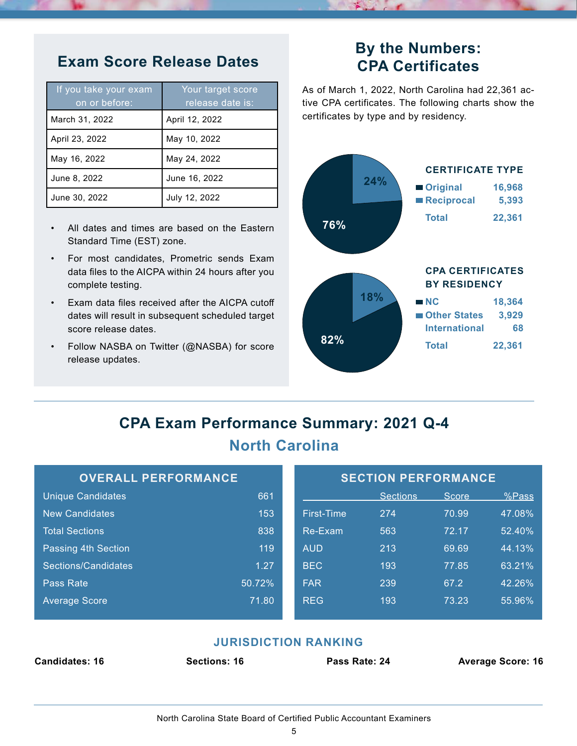| If you take your exam<br>on or before: | Your target score<br>release date is: |
|----------------------------------------|---------------------------------------|
| March 31, 2022                         | April 12, 2022                        |
| April 23, 2022                         | May 10, 2022                          |
| May 16, 2022                           | May 24, 2022                          |
| June 8, 2022                           | June 16, 2022                         |
| June 30, 2022                          | July 12, 2022                         |

- All dates and times are based on the Eastern Standard Time (EST) zone.
- For most candidates, Prometric sends Exam data files to the AICPA within 24 hours after you complete testing.
- Exam data files received after the AICPA cutoff dates will result in subsequent scheduled target score release dates.
- Follow NASBA on Twitter (@NASBA) for score release updates.

# **Exam Score Release Dates By the Numbers: CPA Certificates**

As of March 1, 2022, North Carolina had 22,361 active CPA certificates. The following charts show the certificates by type and by residency.



# **CPA Exam Performance Summary: 2021 Q-4 North Carolina**

| <b>OVERALL PERFORMANCE</b> |        | <b>SECTION PERFORMANCE</b> |                 |       |        |
|----------------------------|--------|----------------------------|-----------------|-------|--------|
| <b>Unique Candidates</b>   | 661    |                            | <b>Sections</b> | Score | %Pass  |
| <b>New Candidates</b>      | 153    | <b>First-Time</b>          | 274             | 70.99 | 47.08% |
| <b>Total Sections</b>      | 838    | Re-Exam                    | 563             | 72.17 | 52.40% |
| Passing 4th Section        | 119    | <b>AUD</b>                 | 213             | 69.69 | 44.13% |
| Sections/Candidates        | 1.27   | <b>BEC</b>                 | 193             | 77.85 | 63.21% |
| Pass Rate                  | 50.72% | <b>FAR</b>                 | 239             | 67.2  | 42.26% |
| <b>Average Score</b>       | 71.80  | <b>REG</b>                 | 193             | 73.23 | 55.96% |
|                            |        |                            |                 |       |        |

# **JURISDICTION RANKING**

| <b>Candidates: 16</b> | <b>Sections: 16</b> | Pass Rate: 24 |  |
|-----------------------|---------------------|---------------|--|
|                       |                     |               |  |

**Candidates: 16 Sections: 16 Pass Rate: 24 Average Score: 16**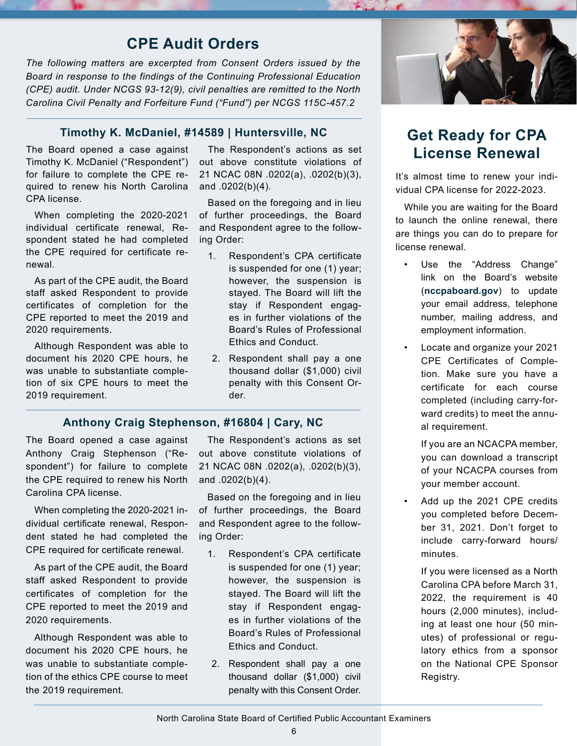# **CPE Audit Orders**

*The following matters are excerpted from Consent Orders issued by the Board in response to the findings of the Continuing Professional Education (CPE) audit. Under NCGS 93-12(9), civil penalties are remitted to the North Carolina Civil Penalty and Forfeiture Fund ("Fund") per NCGS 115C-457.2*

# **Timothy K. McDaniel, #14589 | Huntersville, NC Get Ready for CPA**

The Board opened a case against Timothy K. McDaniel ("Respondent") for failure to complete the CPE required to renew his North Carolina CPA license.

When completing the 2020-2021 individual certificate renewal, Respondent stated he had completed the CPE required for certificate renewal.

As part of the CPE audit, the Board staff asked Respondent to provide certificates of completion for the CPE reported to meet the 2019 and 2020 requirements.

Although Respondent was able to document his 2020 CPE hours, he was unable to substantiate completion of six CPE hours to meet the 2019 requirement.

The Respondent's actions as set out above constitute violations of 21 NCAC 08N .0202(a), .0202(b)(3), and .0202(b)(4).

Based on the foregoing and in lieu of further proceedings, the Board and Respondent agree to the following Order:

- 1. Respondent's CPA certificate is suspended for one (1) year; however, the suspension is stayed. The Board will lift the stay if Respondent engages in further violations of the Board's Rules of Professional Ethics and Conduct.
- 2. Respondent shall pay a one thousand dollar (\$1,000) civil penalty with this Consent Order.

#### **Anthony Craig Stephenson, #16804 | Cary, NC**

The Board opened a case against Anthony Craig Stephenson ("Respondent") for failure to complete the CPE required to renew his North Carolina CPA license.

When completing the 2020-2021 individual certificate renewal, Respondent stated he had completed the CPE required for certificate renewal.

As part of the CPE audit, the Board staff asked Respondent to provide certificates of completion for the CPE reported to meet the 2019 and 2020 requirements.

Although Respondent was able to document his 2020 CPE hours, he was unable to substantiate completion of the ethics CPE course to meet the 2019 requirement.

The Respondent's actions as set out above constitute violations of 21 NCAC 08N .0202(a), .0202(b)(3), and .0202(b)(4).

Based on the foregoing and in lieu of further proceedings, the Board and Respondent agree to the following Order:

- 1. Respondent's CPA certificate is suspended for one (1) year; however, the suspension is stayed. The Board will lift the stay if Respondent engages in further violations of the Board's Rules of Professional Ethics and Conduct.
- 2. Respondent shall pay a one thousand dollar (\$1,000) civil penalty with this Consent Order.



# **License Renewal**

It's almost time to renew your individual CPA license for 2022-2023.

While you are waiting for the Board to launch the online renewal, there are things you can do to prepare for license renewal.

- Use the "Address Change" link on the Board's website (**[nccpaboard.gov](http://nccpaboard.gov)**) to update your email address, telephone number, mailing address, and employment information.
- Locate and organize your 2021 CPE Certificates of Completion. Make sure you have a certificate for each course completed (including carry-forward credits) to meet the annual requirement.

If you are an NCACPA member, you can download a transcript of your NCACPA courses from your member account.

• Add up the 2021 CPE credits you completed before December 31, 2021. Don't forget to include carry-forward hours/ minutes.

If you were licensed as a North Carolina CPA before March 31, 2022, the requirement is 40 hours (2,000 minutes), including at least one hour (50 minutes) of professional or regulatory ethics from a sponsor on the National CPE Sponsor Registry.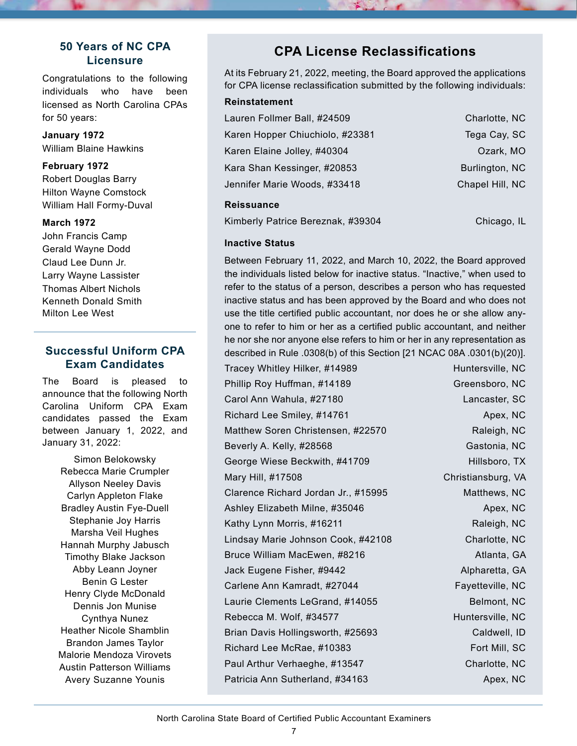# **50 Years of NC CPA Licensure**

Congratulations to the following individuals who have been licensed as North Carolina CPAs for 50 years:

**January 1972** William Blaine Hawkins

#### **February 1972**

Robert Douglas Barry Hilton Wayne Comstock William Hall Formy-Duval

#### **March 1972**

John Francis Camp Gerald Wayne Dodd Claud Lee Dunn Jr. Larry Wayne Lassister Thomas Albert Nichols Kenneth Donald Smith Milton Lee West

# **Successful Uniform CPA Exam Candidates**

The Board is pleased to announce that the following North Carolina Uniform CPA Exam candidates passed the Exam between January 1, 2022, and January 31, 2022:

Simon Belokowsky Rebecca Marie Crumpler Allyson Neeley Davis Carlyn Appleton Flake Bradley Austin Fye-Duell Stephanie Joy Harris Marsha Veil Hughes Hannah Murphy Jabusch Timothy Blake Jackson Abby Leann Joyner Benin G Lester Henry Clyde McDonald Dennis Jon Munise Cynthya Nunez Heather Nicole Shamblin Brandon James Taylor Malorie Mendoza Virovets Austin Patterson Williams Avery Suzanne Younis

# **CPA License Reclassifications**

At its February 21, 2022, meeting, the Board approved the applications for CPA license reclassification submitted by the following individuals:

| <b>Reinstatement</b>        |  |
|-----------------------------|--|
| Lauren Follmer Ball, #24509 |  |

| Karen Hopper Chiuchiolo, #23381 | Tega Cay, SC    |
|---------------------------------|-----------------|
| Karen Elaine Jolley, #40304     | Ozark, MO       |
| Kara Shan Kessinger, #20853     | Burlington, NC  |
| Jennifer Marie Woods, #33418    | Chapel Hill, NC |
|                                 |                 |

#### **Reissuance**

Kimberly Patrice Bereznak, #39304 Chicago, IL

Charlotte, NC

#### **Inactive Status**

Between February 11, 2022, and March 10, 2022, the Board approved the individuals listed below for inactive status. "Inactive," when used to refer to the status of a person, describes a person who has requested inactive status and has been approved by the Board and who does not use the title certified public accountant, nor does he or she allow anyone to refer to him or her as a certified public accountant, and neither he nor she nor anyone else refers to him or her in any representation as described in Rule .0308(b) of this Section [21 NCAC 08A .0301(b)(20)].

| Tracey Whitley Hilker, #14989       | Huntersville, NC   |
|-------------------------------------|--------------------|
| Phillip Roy Huffman, #14189         | Greensboro, NC     |
| Carol Ann Wahula, #27180            | Lancaster, SC      |
| Richard Lee Smiley, #14761          | Apex, NC           |
| Matthew Soren Christensen, #22570   | Raleigh, NC        |
| Beverly A. Kelly, #28568            | Gastonia, NC       |
| George Wiese Beckwith, #41709       | Hillsboro, TX      |
| Mary Hill, #17508                   | Christiansburg, VA |
| Clarence Richard Jordan Jr., #15995 | Matthews, NC       |
| Ashley Elizabeth Milne, #35046      | Apex, NC           |
| Kathy Lynn Morris, #16211           | Raleigh, NC        |
| Lindsay Marie Johnson Cook, #42108  | Charlotte, NC      |
| Bruce William MacEwen, #8216        | Atlanta, GA        |
| Jack Eugene Fisher, #9442           | Alpharetta, GA     |
| Carlene Ann Kamradt, #27044         | Fayetteville, NC   |
| Laurie Clements LeGrand, #14055     | Belmont, NC        |
| Rebecca M. Wolf, #34577             | Huntersville, NC   |
| Brian Davis Hollingsworth, #25693   | Caldwell, ID       |
| Richard Lee McRae, #10383           | Fort Mill, SC      |
| Paul Arthur Verhaeghe, #13547       | Charlotte, NC      |
| Patricia Ann Sutherland, #34163     | Apex, NC           |
|                                     |                    |